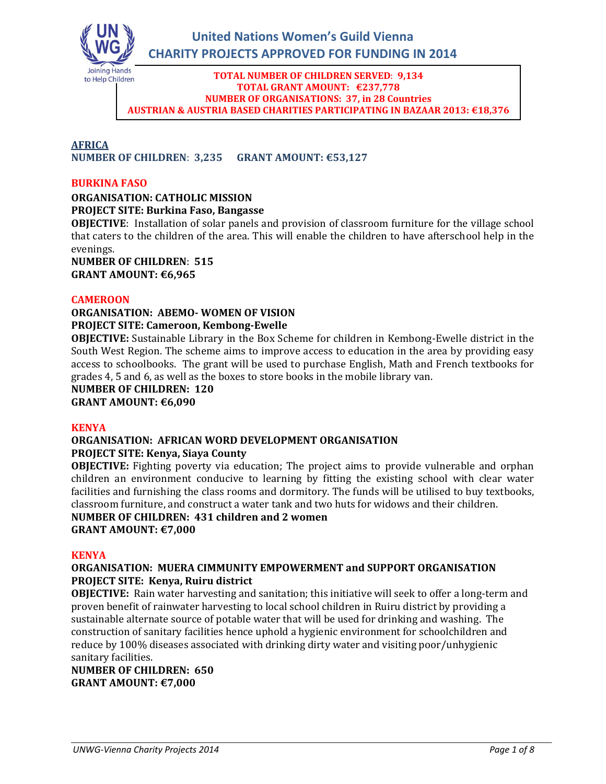

#### **TOTAL NUMBER OF CHILDREN SERVED**: **9,134 TOTAL GRANT AMOUNT: €237,778 NUMBER OF ORGANISATIONS: 37, in 28 Countries AUSTRIAN & AUSTRIA BASED CHARITIES PARTICIPATING IN BAZAAR 2013: €18,376**

#### **AFRICA NUMBER OF CHILDREN**: **3,235 GRANT AMOUNT: €53,127**

### **BURKINA FASO**

### **ORGANISATION: CATHOLIC MISSION**

**PROJECT SITE: Burkina Faso, Bangasse**

**OBJECTIVE**: Installation of solar panels and provision of classroom furniture for the village school that caters to the children of the area. This will enable the children to have afterschool help in the evenings.

**NUMBER OF CHILDREN**: **515 GRANT AMOUNT: €6,965**

### **CAMEROON**

### **ORGANISATION: ABEMO- WOMEN OF VISION PROJECT SITE: Cameroon, Kembong-Ewelle**

**OBJECTIVE:** Sustainable Library in the Box Scheme for children in Kembong-Ewelle district in the South West Region. The scheme aims to improve access to education in the area by providing easy access to schoolbooks. The grant will be used to purchase English, Math and French textbooks for grades 4, 5 and 6, as well as the boxes to store books in the mobile library van.

**NUMBER OF CHILDREN: 120**

**GRANT AMOUNT: €6,090**

### **KENYA**

#### **ORGANISATION: AFRICAN WORD DEVELOPMENT ORGANISATION PROJECT SITE: Kenya, Siaya County**

**OBJECTIVE:** Fighting poverty via education; The project aims to provide vulnerable and orphan children an environment conducive to learning by fitting the existing school with clear water facilities and furnishing the class rooms and dormitory. The funds will be utilised to buy textbooks, classroom furniture, and construct a water tank and two huts for widows and their children.

### **NUMBER OF CHILDREN: 431 children and 2 women**

**GRANT AMOUNT: €7,000**

### **KENYA**

### **ORGANISATION: MUERA CIMMUNITY EMPOWERMENT and SUPPORT ORGANISATION PROJECT SITE: Kenya, Ruiru district**

**OBJECTIVE:** Rain water harvesting and sanitation; this initiative will seek to offer a long-term and proven benefit of rainwater harvesting to local school children in Ruiru district by providing a sustainable alternate source of potable water that will be used for drinking and washing. The construction of sanitary facilities hence uphold a hygienic environment for schoolchildren and reduce by 100% diseases associated with drinking dirty water and visiting poor/unhygienic sanitary facilities.

**NUMBER OF CHILDREN: 650 GRANT AMOUNT: €7,000**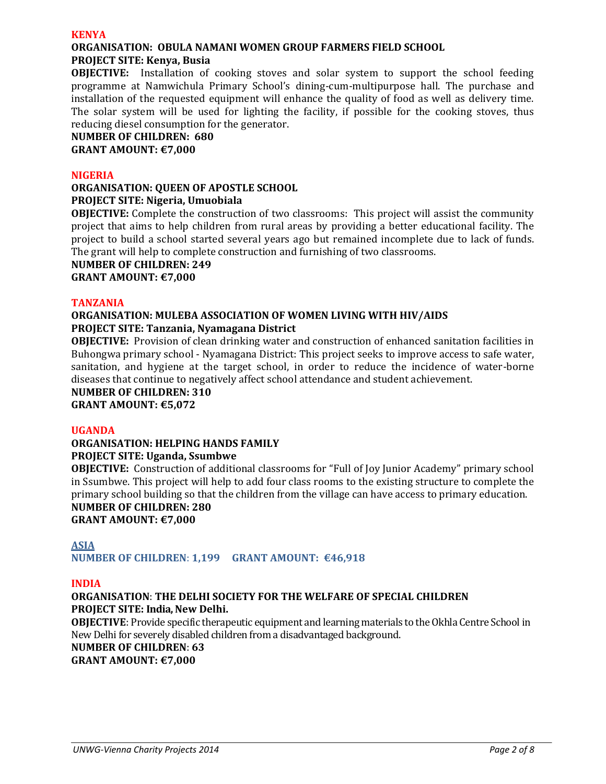#### **KENYA**

# **ORGANISATION: OBULA NAMANI WOMEN GROUP FARMERS FIELD SCHOOL**

### **PROJECT SITE: Kenya, Busia**

**OBJECTIVE:** Installation of cooking stoves and solar system to support the school feeding programme at Namwichula Primary School's dining-cum-multipurpose hall. The purchase and installation of the requested equipment will enhance the quality of food as well as delivery time. The solar system will be used for lighting the facility, if possible for the cooking stoves, thus reducing diesel consumption for the generator.

#### **NUMBER OF CHILDREN: 680 GRANT AMOUNT: €7,000**

#### **NIGERIA**

### **ORGANISATION: QUEEN OF APOSTLE SCHOOL PROJECT SITE: Nigeria, Umuobiala**

**OBJECTIVE:** Complete the construction of two classrooms: This project will assist the community project that aims to help children from rural areas by providing a better educational facility. The project to build a school started several years ago but remained incomplete due to lack of funds. The grant will help to complete construction and furnishing of two classrooms.

### **NUMBER OF CHILDREN: 249**

**GRANT AMOUNT: €7,000**

### **TANZANIA**

### **ORGANISATION: MULEBA ASSOCIATION OF WOMEN LIVING WITH HIV/AIDS PROJECT SITE: Tanzania, Nyamagana District**

**OBJECTIVE:** Provision of clean drinking water and construction of enhanced sanitation facilities in Buhongwa primary school - Nyamagana District: This project seeks to improve access to safe water, sanitation, and hygiene at the target school, in order to reduce the incidence of water-borne diseases that continue to negatively affect school attendance and student achievement.

**NUMBER OF CHILDREN: 310 GRANT AMOUNT: €5,072**

### **UGANDA**

### **ORGANISATION: HELPING HANDS FAMILY PROJECT SITE: Uganda, Ssumbwe**

**OBJECTIVE:** Construction of additional classrooms for "Full of Joy Junior Academy" primary school in Ssumbwe. This project will help to add four class rooms to the existing structure to complete the primary school building so that the children from the village can have access to primary education. **NUMBER OF CHILDREN: 280**

**GRANT AMOUNT: €7,000**

### **ASIA**

**NUMBER OF CHILDREN**: **1,199 GRANT AMOUNT: €46,918**

### **INDIA**

### **ORGANISATION**: **THE DELHI SOCIETY FOR THE WELFARE OF SPECIAL CHILDREN PROJECT SITE: India, New Delhi.**

**OBJECTIVE**: Provide specific therapeutic equipment and learning materials to the Okhla Centre School in New Delhi for severely disabled children from a disadvantaged background.

**NUMBER OF CHILDREN**: **63**

**GRANT AMOUNT: €7,000**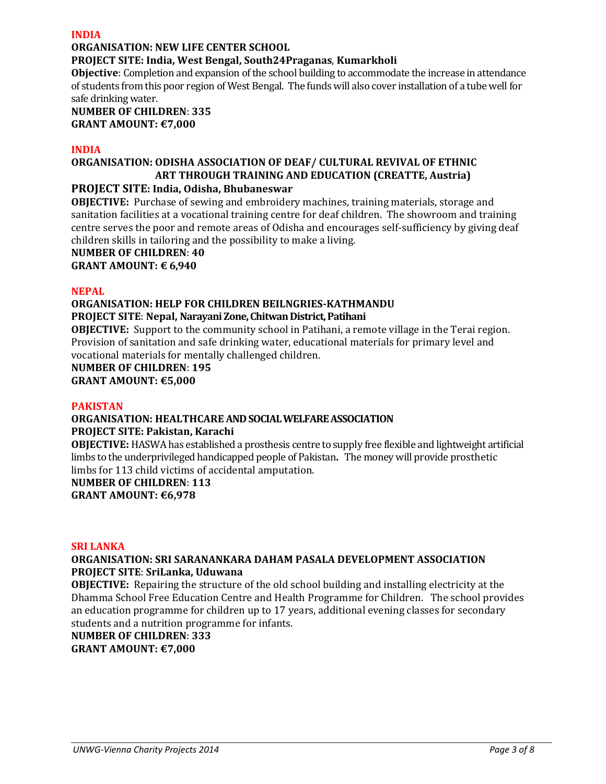#### **INDIA**

### **ORGANISATION: NEW LIFE CENTER SCHOOL**

### **PROJECT SITE: India, West Bengal, South24Praganas**, **Kumarkholi**

**Objective**: Completion and expansion of the school building to accommodate the increase in attendance of students from this poor region of West Bengal. The funds will also cover installation of a tube well for safe drinking water.

### **NUMBER OF CHILDREN**: **335 GRANT AMOUNT: €7,000**

#### **INDIA**

### **ORGANISATION: ODISHA ASSOCIATION OF DEAF/ CULTURAL REVIVAL OF ETHNIC ART THROUGH TRAINING AND EDUCATION (CREATTE, Austria)**

### **PROJECT SITE: India, Odisha, Bhubaneswar**

**OBJECTIVE:** Purchase of sewing and embroidery machines, training materials, storage and sanitation facilities at a vocational training centre for deaf children. The showroom and training centre serves the poor and remote areas of Odisha and encourages self-sufficiency by giving deaf children skills in tailoring and the possibility to make a living.

**NUMBER OF CHILDREN**: **40**

**GRANT AMOUNT: € 6,940**

### **NEPAL**

### **ORGANISATION: HELP FOR CHILDREN BEILNGRIES-KATHMANDU**

### **PROJECT SITE**: **Nepal, Narayani Zone, Chitwan District, Patihani**

**OBJECTIVE:** Support to the community school in Patihani, a remote village in the Terai region. Provision of sanitation and safe drinking water, educational materials for primary level and vocational materials for mentally challenged children.

# **NUMBER OF CHILDREN**: **195**

**GRANT AMOUNT: €5,000**

### **PAKISTAN**

#### **ORGANISATION: HEALTHCARE AND SOCIAL WELFARE ASSOCIATION PROJECT SITE: Pakistan, Karachi**

**OBJECTIVE:** HASWA has established a prosthesis centre to supply free flexible and lightweight artificial limbs to the underprivileged handicapped people of Pakistan**.** The money will provide prosthetic limbs for 113 child victims of accidental amputation.

### **NUMBER OF CHILDREN**: **113 GRANT AMOUNT: €6,978**

#### **SRI LANKA**

### **ORGANISATION: SRI SARANANKARA DAHAM PASALA DEVELOPMENT ASSOCIATION PROJECT SITE**: **SriLanka, Uduwana**

**OBJECTIVE:** Repairing the structure of the old school building and installing electricity at the Dhamma School Free Education Centre and Health Programme for Children. The school provides an education programme for children up to 17 years, additional evening classes for secondary students and a nutrition programme for infants.

**NUMBER OF CHILDREN**: **333**

**GRANT AMOUNT: €7,000**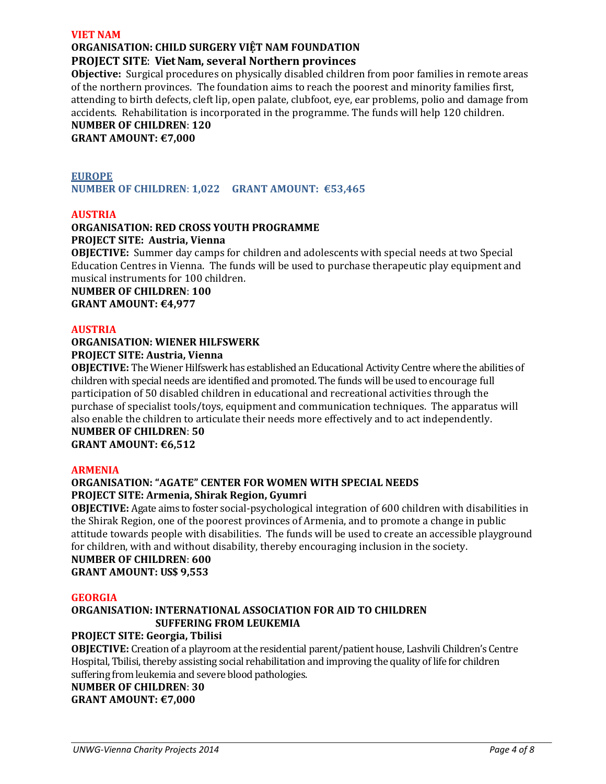#### **VIET NAM**

## **ORGANISATION: CHILD SURGERY VIỆT NAM FOUNDATION**

### **PROJECT SITE**: **Viet Nam, several Northern provinces**

**Objective:** Surgical procedures on physically disabled children from poor families in remote areas of the northern provinces. The foundation aims to reach the poorest and minority families first, attending to birth defects, cleft lip, open palate, clubfoot, eye, ear problems, polio and damage from accidents. Rehabilitation is incorporated in the programme. The funds will help 120 children.

**NUMBER OF CHILDREN**: **120 GRANT AMOUNT: €7,000**

### **EUROPE**

**NUMBER OF CHILDREN**: **1,022 GRANT AMOUNT: €53,465**

#### **AUSTRIA**

### **ORGANISATION: RED CROSS YOUTH PROGRAMME PROJECT SITE: Austria, Vienna**

**OBJECTIVE:** Summer day camps for children and adolescents with special needs at two Special Education Centres in Vienna. The funds will be used to purchase therapeutic play equipment and musical instruments for 100 children.

**NUMBER OF CHILDREN**: **100 GRANT AMOUNT: €4,977**

#### **AUSTRIA**

#### **ORGANISATION: WIENER HILFSWERK PROJECT SITE: Austria, Vienna**

**OBJECTIVE:** The Wiener Hilfswerk has established an Educational Activity Centre where the abilities of children with special needs are identified and promoted. The funds will be used to encourage full participation of 50 disabled children in educational and recreational activities through the purchase of specialist tools/toys, equipment and communication techniques. The apparatus will also enable the children to articulate their needs more effectively and to act independently. **NUMBER OF CHILDREN**: **50**

## **GRANT AMOUNT: €6,512**

#### **ARMENIA**

### **ORGANISATION: "AGATE" CENTER FOR WOMEN WITH SPECIAL NEEDS PROJECT SITE: Armenia, Shirak Region, Gyumri**

**OBJECTIVE:** Agate aims to foster social-psychological integration of 600 children with disabilities in the Shirak Region, one of the poorest provinces of Armenia, and to promote a change in public attitude towards people with disabilities. The funds will be used to create an accessible playground for children, with and without disability, thereby encouraging inclusion in the society.

#### **NUMBER OF CHILDREN**: **600 GRANT AMOUNT: US\$ 9,553**

#### **GEORGIA**

### **ORGANISATION: INTERNATIONAL ASSOCIATION FOR AID TO CHILDREN SUFFERING FROM LEUKEMIA**

### **PROJECT SITE: Georgia, Tbilisi**

**OBJECTIVE:** Creation of a playroom at the residential parent/patient house, Lashvili Children's Centre Hospital, Tbilisi, thereby assisting social rehabilitation and improving the quality of life for children suffering from leukemia and severe blood pathologies.

**NUMBER OF CHILDREN**: **30 GRANT AMOUNT: €7,000**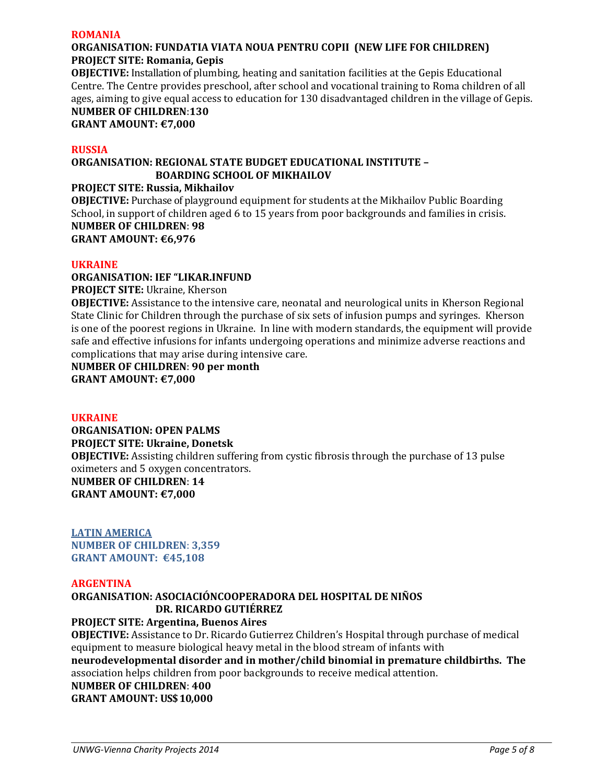#### **ROMANIA**

### **ORGANISATION: FUNDATIA VIATA NOUA PENTRU COPII (NEW LIFE FOR CHILDREN) PROJECT SITE: Romania, Gepis**

**OBJECTIVE:** Installation of plumbing, heating and sanitation facilities at the Gepis Educational Centre. The Centre provides preschool, after school and vocational training to Roma children of all ages, aiming to give equal access to education for 130 disadvantaged children in the village of Gepis. **NUMBER OF CHILDREN**:**130**

**GRANT AMOUNT: €7,000**

#### **RUSSIA**

### **ORGANISATION: REGIONAL STATE BUDGET EDUCATIONAL INSTITUTE – BOARDING SCHOOL OF MIKHAILOV**

**PROJECT SITE: Russia, Mikhailov OBJECTIVE:** Purchase of playground equipment for students at the Mikhailov Public Boarding School, in support of children aged 6 to 15 years from poor backgrounds and families in crisis. **NUMBER OF CHILDREN**: **98 GRANT AMOUNT: €6,976** 

#### **UKRAINE**

**ORGANISATION: IEF "LIKAR.INFUND**

**PROJECT SITE:** Ukraine, Kherson

**OBJECTIVE:** Assistance to the intensive care, neonatal and neurological units in Kherson Regional State Clinic for Children through the purchase of six sets of infusion pumps and syringes. Kherson is one of the poorest regions in Ukraine. In line with modern standards, the equipment will provide safe and effective infusions for infants undergoing operations and minimize adverse reactions and complications that may arise during intensive care.

**NUMBER OF CHILDREN**: **90 per month GRANT AMOUNT: €7,000**

#### **UKRAINE**

**ORGANISATION: OPEN PALMS PROJECT SITE: Ukraine, Donetsk OBJECTIVE:** Assisting children suffering from cystic fibrosis through the purchase of 13 pulse oximeters and 5 oxygen concentrators. **NUMBER OF CHILDREN**: **14 GRANT AMOUNT: €7,000**

**LATIN AMERICA NUMBER OF CHILDREN**: **3,359 GRANT AMOUNT: €45,108**

#### **ARGENTINA**

### **ORGANISATION: ASOCIACIÓNCOOPERADORA DEL HOSPITAL DE NIÑOS DR. RICARDO GUTIÉRREZ**

### **PROJECT SITE: Argentina, Buenos Aires**

**OBJECTIVE:** Assistance to Dr. Ricardo Gutierrez Children's Hospital through purchase of medical equipment to measure biological heavy metal in the blood stream of infants with **neurodevelopmental disorder and in mother/child binomial in premature childbirths. The** association helps children from poor backgrounds to receive medical attention.

**NUMBER OF CHILDREN**: **400 GRANT AMOUNT: US\$ 10,000**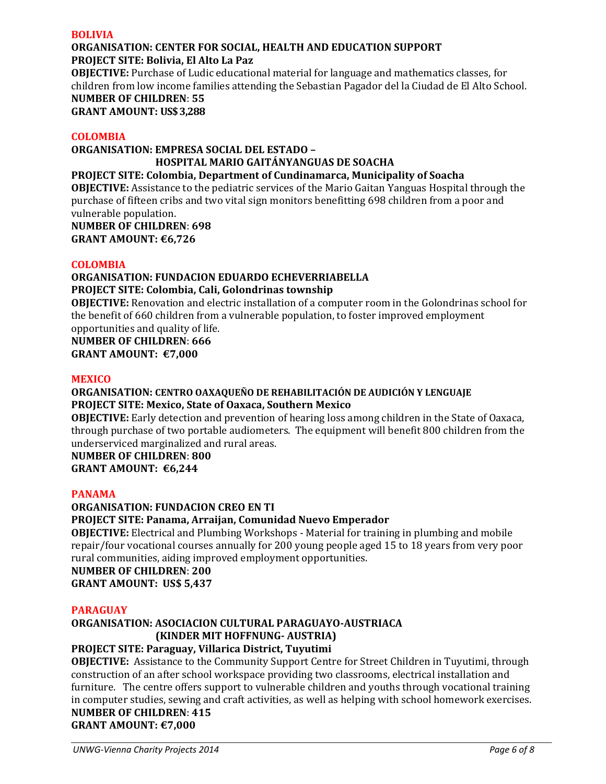#### **BOLIVIA**

#### **ORGANISATION: CENTER FOR SOCIAL, HEALTH AND EDUCATION SUPPORT PROJECT SITE: Bolivia, El Alto La Paz**

**OBJECTIVE:** Purchase of Ludic educational material for language and mathematics classes, for children from low income families attending the Sebastian Pagador del la Ciudad de El Alto School.

**NUMBER OF CHILDREN**: **55 GRANT AMOUNT: US\$ 3,288** 

### **COLOMBIA**

## **ORGANISATION: EMPRESA SOCIAL DEL ESTADO – HOSPITAL MARIO GAITÁNYANGUAS DE SOACHA**

### **PROJECT SITE: Colombia, Department of Cundinamarca, Municipality of Soacha**

**OBJECTIVE:** Assistance to the pediatric services of the Mario Gaitan Yanguas Hospital through the purchase of fifteen cribs and two vital sign monitors benefitting 698 children from a poor and vulnerable population.

**NUMBER OF CHILDREN**: **698 GRANT AMOUNT: €6,726**

### **COLOMBIA**

### **ORGANISATION: FUNDACION EDUARDO ECHEVERRIABELLA PROJECT SITE: Colombia, Cali, Golondrinas township**

**OBJECTIVE:** Renovation and electric installation of a computer room in the Golondrinas school for the benefit of 660 children from a vulnerable population, to foster improved employment opportunities and quality of life.

**NUMBER OF CHILDREN**: **666**

**GRANT AMOUNT: €7,000**

### **MEXICO**

### **ORGANISATION: CENTRO OAXAQUEÑO DE REHABILITACIÓN DE AUDICIÓN Y LENGUAJE PROJECT SITE: Mexico, State of Oaxaca, Southern Mexico**

**OBJECTIVE:** Early detection and prevention of hearing loss among children in the State of Oaxaca, through purchase of two portable audiometers. The equipment will benefit 800 children from the underserviced marginalized and rural areas.

**NUMBER OF CHILDREN**: **800**

**GRANT AMOUNT: €6,244**

### **PANAMA**

### **ORGANISATION: FUNDACION CREO EN TI**

### **PROJECT SITE: Panama, Arraijan, Comunidad Nuevo Emperador**

**OBJECTIVE:** Electrical and Plumbing Workshops - Material for training in plumbing and mobile repair/four vocational courses annually for 200 young people aged 15 to 18 years from very poor rural communities, aiding improved employment opportunities.

**NUMBER OF CHILDREN**: **200 GRANT AMOUNT: US\$ 5,437**

### **PARAGUAY**

### **ORGANISATION: ASOCIACION CULTURAL PARAGUAYO-AUSTRIACA (KINDER MIT HOFFNUNG- AUSTRIA)**

### **PROJECT SITE: Paraguay, Villarica District, Tuyutimi**

**OBJECTIVE:** Assistance to the Community Support Centre for Street Children in Tuyutimi, through construction of an after school workspace providing two classrooms, electrical installation and furniture. The centre offers support to vulnerable children and youths through vocational training in computer studies, sewing and craft activities, as well as helping with school homework exercises.

### **NUMBER OF CHILDREN**: **415 GRANT AMOUNT: €7,000**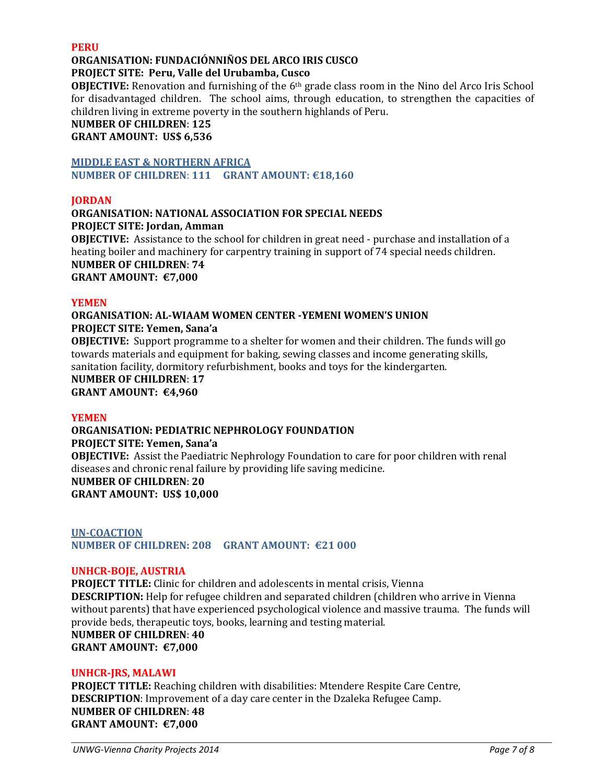#### **PERU**

## **ORGANISATION: FUNDACIÓNNIÑOS DEL ARCO IRIS CUSCO**

### **PROJECT SITE: Peru, Valle del Urubamba, Cusco**

**OBJECTIVE:** Renovation and furnishing of the 6<sup>th</sup> grade class room in the Nino del Arco Iris School for disadvantaged children. The school aims, through education, to strengthen the capacities of children living in extreme poverty in the southern highlands of Peru.

### **NUMBER OF CHILDREN**: **125**

**GRANT AMOUNT: US\$ 6,536**

#### **MIDDLE EAST & NORTHERN AFRICA**

**NUMBER OF CHILDREN**: **111 GRANT AMOUNT: €18,160**

#### **JORDAN**

#### **ORGANISATION: NATIONAL ASSOCIATION FOR SPECIAL NEEDS PROJECT SITE: Jordan, Amman**

**OBJECTIVE:** Assistance to the school for children in great need - purchase and installation of a heating boiler and machinery for carpentry training in support of 74 special needs children. **NUMBER OF CHILDREN**: **74 GRANT AMOUNT: €7,000**

#### **YEMEN**

### **ORGANISATION: AL-WIAAM WOMEN CENTER -YEMENI WOMEN'S UNION PROJECT SITE: Yemen, Sana'a**

**OBJECTIVE:** Support programme to a shelter for women and their children. The funds will go towards materials and equipment for baking, sewing classes and income generating skills, sanitation facility, dormitory refurbishment, books and toys for the kindergarten.

# **NUMBER OF CHILDREN**: **17**

**GRANT AMOUNT: €4,960**

#### **YEMEN**

### **ORGANISATION: PEDIATRIC NEPHROLOGY FOUNDATION PROJECT SITE: Yemen, Sana'a OBJECTIVE:** Assist the Paediatric Nephrology Foundation to care for poor children with renal diseases and chronic renal failure by providing life saving medicine. **NUMBER OF CHILDREN**: **20 GRANT AMOUNT: US\$ 10,000**

### **UN-COACTION NUMBER OF CHILDREN: 208 GRANT AMOUNT: €21 000**

#### **UNHCR-BOJE, AUSTRIA**

**PROJECT TITLE:** Clinic for children and adolescents in mental crisis, Vienna **DESCRIPTION:** Help for refugee children and separated children (children who arrive in Vienna without parents) that have experienced psychological violence and massive trauma. The funds will provide beds, therapeutic toys, books, learning and testing material. **NUMBER OF CHILDREN**: **40 GRANT AMOUNT: €7,000**

### **UNHCR-JRS, MALAWI**

**PROJECT TITLE:** Reaching children with disabilities: Mtendere Respite Care Centre, **DESCRIPTION**: Improvement of a day care center in the Dzaleka Refugee Camp. **NUMBER OF CHILDREN**: **48 GRANT AMOUNT: €7,000**